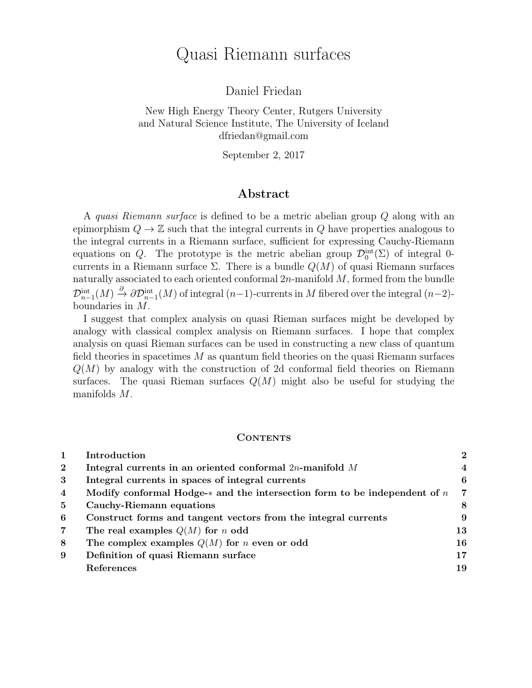# Quasi Riemann surfaces

Daniel Friedan

New High Energy Theory Center, Rutgers University and Natural Science Institute, The University of Iceland dfriedan@gmail.com

September 2, 2017

## Abstract

A quasi Riemann surface is defined to be a metric abelian group Q along with an epimorphism  $Q \to \mathbb{Z}$  such that the integral currents in Q have properties analogous to the integral currents in a Riemann surface, sufficient for expressing Cauchy-Riemann equations on Q. The prototype is the metric abelian group  $\mathcal{D}_0^{\text{int}}(\Sigma)$  of integral 0currents in a Riemann surface  $\Sigma$ . There is a bundle  $Q(M)$  of quasi Riemann surfaces naturally associated to each oriented conformal  $2n$ -manifold  $M$ , formed from the bundle  $\mathcal{D}^{\rm int}_{n-1}(M) \xrightarrow{\partial} \partial \mathcal{D}^{\rm int}_{n-1}(M)$  of integral  $(n-1)$ -currents in M fibered over the integral  $(n-2)$ boundaries in M.

I suggest that complex analysis on quasi Rieman surfaces might be developed by analogy with classical complex analysis on Riemann surfaces. I hope that complex analysis on quasi Rieman surfaces can be used in constructing a new class of quantum field theories in spacetimes  $M$  as quantum field theories on the quasi Riemann surfaces  $Q(M)$  by analogy with the construction of 2d conformal field theories on Riemann surfaces. The quasi Rieman surfaces  $Q(M)$  might also be useful for studying the manifolds M.

#### **CONTENTS**

|                | Introduction                                                                 | $\overline{2}$ |
|----------------|------------------------------------------------------------------------------|----------------|
| $\mathbf{2}$   | Integral currents in an oriented conformal $2n$ -manifold M                  | $\overline{4}$ |
| 3              | Integral currents in spaces of integral currents                             | 6              |
| $\overline{4}$ | Modify conformal Hodge- $*$ and the intersection form to be independent of n | 7              |
| 5              | Cauchy-Riemann equations                                                     | 8              |
| 6              | Construct forms and tangent vectors from the integral currents               | 9              |
| $\overline{7}$ | The real examples $Q(M)$ for n odd                                           | 13             |
| 8              | The complex examples $Q(M)$ for <i>n</i> even or odd                         | 16             |
| 9              | Definition of quasi Riemann surface                                          | 17             |
|                | References                                                                   | 19             |
|                |                                                                              |                |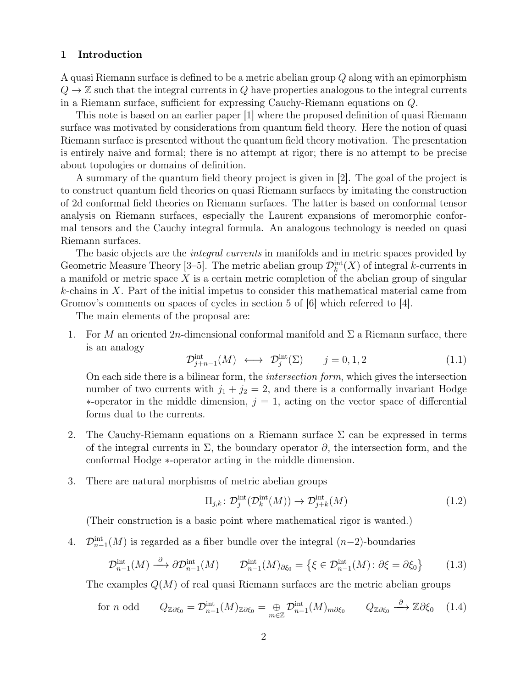#### 1 Introduction

A quasi Riemann surface is defined to be a metric abelian group Q along with an epimorphism  $Q \rightarrow \mathbb{Z}$  such that the integral currents in Q have properties analogous to the integral currents in a Riemann surface, sufficient for expressing Cauchy-Riemann equations on Q.

This note is based on an earlier paper [1] where the proposed definition of quasi Riemann surface was motivated by considerations from quantum field theory. Here the notion of quasi Riemann surface is presented without the quantum field theory motivation. The presentation is entirely naive and formal; there is no attempt at rigor; there is no attempt to be precise about topologies or domains of definition.

A summary of the quantum field theory project is given in [2]. The goal of the project is to construct quantum field theories on quasi Riemann surfaces by imitating the construction of 2d conformal field theories on Riemann surfaces. The latter is based on conformal tensor analysis on Riemann surfaces, especially the Laurent expansions of meromorphic conformal tensors and the Cauchy integral formula. An analogous technology is needed on quasi Riemann surfaces.

The basic objects are the *integral currents* in manifolds and in metric spaces provided by Geometric Measure Theory [3–5]. The metric abelian group  $\mathcal{D}_k^{\text{int}}(X)$  of integral k-currents in a manifold or metric space  $X$  is a certain metric completion of the abelian group of singular k-chains in X. Part of the initial impetus to consider this mathematical material came from Gromov's comments on spaces of cycles in section 5 of [6] which referred to [4].

The main elements of the proposal are:

1. For M an oriented 2n-dimensional conformal manifold and  $\Sigma$  a Riemann surface, there is an analogy

$$
\mathcal{D}_{j+n-1}^{\text{int}}(M) \longleftrightarrow \mathcal{D}_j^{\text{int}}(\Sigma) \qquad j=0,1,2 \tag{1.1}
$$

On each side there is a bilinear form, the intersection form, which gives the intersection number of two currents with  $j_1 + j_2 = 2$ , and there is a conformally invariant Hodge  $*$ -operator in the middle dimension,  $j = 1$ , acting on the vector space of differential forms dual to the currents.

- 2. The Cauchy-Riemann equations on a Riemann surface  $\Sigma$  can be expressed in terms of the integral currents in  $\Sigma$ , the boundary operator  $\partial$ , the intersection form, and the conformal Hodge ∗-operator acting in the middle dimension.
- 3. There are natural morphisms of metric abelian groups

$$
\Pi_{j,k} \colon \mathcal{D}_j^{\text{int}}(\mathcal{D}_k^{\text{int}}(M)) \to \mathcal{D}_{j+k}^{\text{int}}(M) \tag{1.2}
$$

(Their construction is a basic point where mathematical rigor is wanted.)

4.  $\mathcal{D}_{n-1}^{\text{int}}(M)$  is regarded as a fiber bundle over the integral  $(n-2)$ -boundaries

$$
\mathcal{D}_{n-1}^{\text{int}}(M) \stackrel{\partial}{\longrightarrow} \partial \mathcal{D}_{n-1}^{\text{int}}(M) \qquad \mathcal{D}_{n-1}^{\text{int}}(M)_{\partial \xi_0} = \left\{ \xi \in \mathcal{D}_{n-1}^{\text{int}}(M) : \partial \xi = \partial \xi_0 \right\} \tag{1.3}
$$

The examples  $Q(M)$  of real quasi Riemann surfaces are the metric abelian groups

$$
\text{for } n \text{ odd} \qquad Q_{\mathbb{Z}\partial\xi_0} = \mathcal{D}_{n-1}^{\text{int}}(M)_{\mathbb{Z}\partial\xi_0} = \bigoplus_{m \in \mathbb{Z}} \mathcal{D}_{n-1}^{\text{int}}(M)_{m\partial\xi_0} \qquad Q_{\mathbb{Z}\partial\xi_0} \xrightarrow{\partial} \mathbb{Z}\partial\xi_0 \quad (1.4)
$$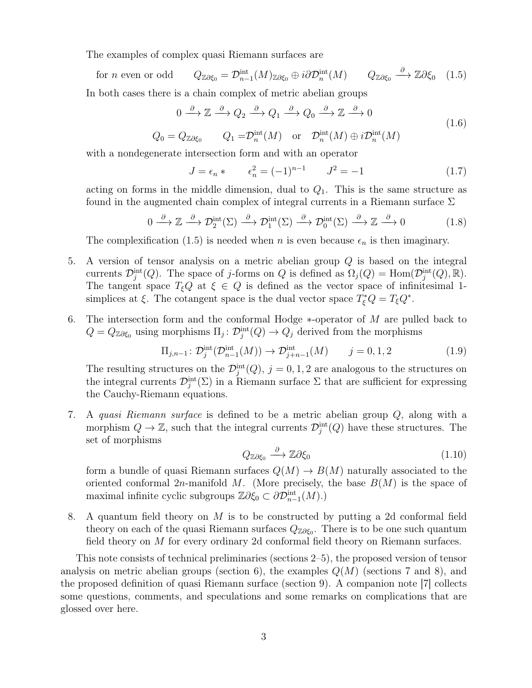The examples of complex quasi Riemann surfaces are

for  $n$  even or odd  $\lim_{n-1}(M)_{\mathbb{Z}\partial\xi_0}\oplus i\partial\mathcal{D}_n^{\text{int}}(M) \qquad Q_{\mathbb{Z}\partial\xi_0}\stackrel{\partial}{\longrightarrow}\mathbb{Z}\partial\xi_0 \quad (1.5)$ 

In both cases there is a chain complex of metric abelian groups

$$
0 \xrightarrow{\partial} \mathbb{Z} \xrightarrow{\partial} Q_2 \xrightarrow{\partial} Q_1 \xrightarrow{\partial} Q_0 \xrightarrow{\partial} \mathbb{Z} \xrightarrow{\partial} 0
$$
\n
$$
(1.6)
$$

$$
Q_0 = Q_{\mathbb{Z}\partial\xi_0}
$$
  $Q_1 = \mathcal{D}_n^{\text{int}}(M)$  or  $\mathcal{D}_n^{\text{int}}(M) \oplus i\mathcal{D}_n^{\text{int}}(M)$ 

with a nondegenerate intersection form and with an operator

$$
J = \epsilon_n * \qquad \epsilon_n^2 = (-1)^{n-1} \qquad J^2 = -1 \tag{1.7}
$$

acting on forms in the middle dimension, dual to  $Q_1$ . This is the same structure as found in the augmented chain complex of integral currents in a Riemann surface  $\Sigma$ 

$$
0 \xrightarrow{\partial} \mathbb{Z} \xrightarrow{\partial} \mathcal{D}_2^{\text{int}}(\Sigma) \xrightarrow{\partial} \mathcal{D}_1^{\text{int}}(\Sigma) \xrightarrow{\partial} \mathcal{D}_0^{\text{int}}(\Sigma) \xrightarrow{\partial} \mathbb{Z} \xrightarrow{\partial} 0 \tag{1.8}
$$

The complexification (1.5) is needed when *n* is even because  $\epsilon_n$  is then imaginary.

- 5. A version of tensor analysis on a metric abelian group Q is based on the integral currents  $\mathcal{D}_j^{\text{int}}(Q)$ . The space of j-forms on Q is defined as  $\Omega_j(Q) = \text{Hom}(\mathcal{D}_j^{\text{int}}(Q), \mathbb{R})$ . The tangent space  $T_{\xi}Q$  at  $\xi \in Q$  is defined as the vector space of infinitesimal 1simplices at  $\xi$ . The cotangent space is the dual vector space  $T_{\xi}^*Q = T_{\xi}Q^*$ .
- 6. The intersection form and the conformal Hodge ∗-operator of M are pulled back to  $Q = Q_{\mathbb{Z}\partial \xi_0}$  using morphisms  $\Pi_j \colon \mathcal{D}_j^{\text{int}}(Q) \to Q_j$  derived from the morphisms

$$
\Pi_{j,n-1}: \mathcal{D}_j^{\text{int}}(\mathcal{D}_{n-1}^{\text{int}}(M)) \to \mathcal{D}_{j+n-1}^{\text{int}}(M) \qquad j = 0, 1, 2 \tag{1.9}
$$

The resulting structures on the  $\mathcal{D}_j^{\text{int}}(Q)$ ,  $j = 0, 1, 2$  are analogous to the structures on the integral currents  $\mathcal{D}_j^{\text{int}}(\Sigma)$  in a Riemann surface  $\Sigma$  that are sufficient for expressing the Cauchy-Riemann equations.

7. A quasi Riemann surface is defined to be a metric abelian group Q, along with a morphism  $Q \to \mathbb{Z}$ , such that the integral currents  $\mathcal{D}_j^{\text{int}}(Q)$  have these structures. The set of morphisms

$$
Q_{\mathbb{Z}\partial\xi_0} \xrightarrow{\partial} \mathbb{Z}\partial\xi_0 \tag{1.10}
$$

form a bundle of quasi Riemann surfaces  $Q(M) \to B(M)$  naturally associated to the oriented conformal  $2n$ -manifold M. (More precisely, the base  $B(M)$  is the space of maximal infinite cyclic subgroups  $\mathbb{Z}\partial \xi_0 \subset \partial \mathcal{D}^{\text{int}}_{n-1}(M)$ .)

8. A quantum field theory on M is to be constructed by putting a 2d conformal field theory on each of the quasi Riemann surfaces  $Q_{\mathbb{Z}\partial\xi_0}$ . There is to be one such quantum field theory on M for every ordinary 2d conformal field theory on Riemann surfaces.

This note consists of technical preliminaries (sections 2–5), the proposed version of tensor analysis on metric abelian groups (section 6), the examples  $Q(M)$  (sections 7 and 8), and the proposed definition of quasi Riemann surface (section 9). A companion note [7] collects some questions, comments, and speculations and some remarks on complications that are glossed over here.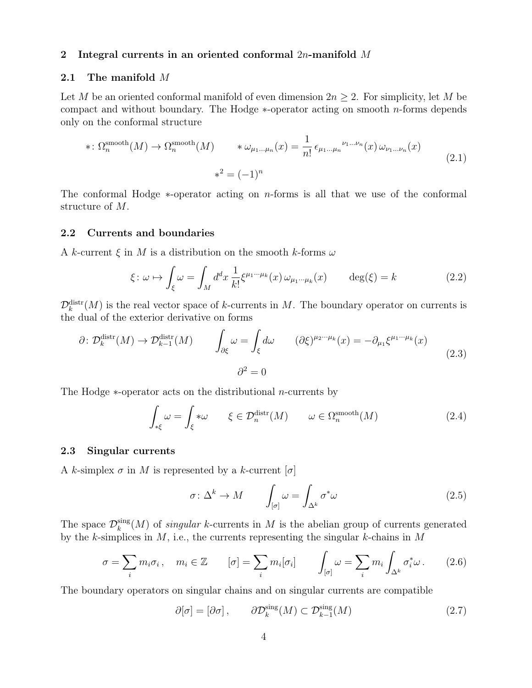#### 2 Integral currents in an oriented conformal  $2n$ -manifold M

#### 2.1 The manifold M

Let M be an oriented conformal manifold of even dimension  $2n \geq 2$ . For simplicity, let M be compact and without boundary. The Hodge  $*$ -operator acting on smooth *n*-forms depends only on the conformal structure

$$
*\colon \Omega_n^{\text{smooth}}(M) \to \Omega_n^{\text{smooth}}(M) \qquad *\omega_{\mu_1...\mu_n}(x) = \frac{1}{n!} \epsilon_{\mu_1...\mu_n}^{\nu_1...\nu_n}(x) \omega_{\nu_1...\nu_n}(x)
$$
\n
$$
*^2 = (-1)^n \tag{2.1}
$$

The conformal Hodge ∗-operator acting on n-forms is all that we use of the conformal structure of M.

#### 2.2 Currents and boundaries

A k-current  $\xi$  in M is a distribution on the smooth k-forms  $\omega$ 

$$
\xi: \omega \mapsto \int_{\xi} \omega = \int_{M} d^{d}x \, \frac{1}{k!} \xi^{\mu_{1} \cdots \mu_{k}}(x) \, \omega_{\mu_{1} \cdots \mu_{k}}(x) \qquad \deg(\xi) = k \tag{2.2}
$$

 $\mathcal{D}_k^{\text{distr}}(M)$  is the real vector space of k-currents in M. The boundary operator on currents is the dual of the exterior derivative on forms

$$
\partial \colon \mathcal{D}_k^{\text{distr}}(M) \to \mathcal{D}_{k-1}^{\text{distr}}(M) \qquad \int_{\partial \xi} \omega = \int_{\xi} d\omega \qquad (\partial \xi)^{\mu_2 \cdots \mu_k}(x) = -\partial_{\mu_1} \xi^{\mu_1 \cdots \mu_k}(x)
$$
\n
$$
\partial^2 = 0 \qquad (2.3)
$$

The Hodge ∗-operator acts on the distributional n-currents by

$$
\int_{*\xi} \omega = \int_{\xi} * \omega \qquad \xi \in \mathcal{D}_n^{\text{distr}}(M) \qquad \omega \in \Omega_n^{\text{smooth}}(M) \tag{2.4}
$$

#### 2.3 Singular currents

A k-simplex  $\sigma$  in M is represented by a k-current  $[\sigma]$ 

$$
\sigma \colon \Delta^k \to M \qquad \int_{[\sigma]} \omega = \int_{\Delta^k} \sigma^* \omega \tag{2.5}
$$

The space  $\mathcal{D}_k^{\text{sing}}$  $\binom{sing}{k}(M)$  of *singular* k-currents in M is the abelian group of currents generated by the k-simplices in  $M$ , i.e., the currents representing the singular k-chains in  $M$ 

$$
\sigma = \sum_{i} m_{i} \sigma_{i}, \quad m_{i} \in \mathbb{Z} \qquad [\sigma] = \sum_{i} m_{i} [\sigma_{i}] \qquad \int_{[\sigma]} \omega = \sum_{i} m_{i} \int_{\Delta^{k}} \sigma_{i}^{*} \omega. \tag{2.6}
$$

The boundary operators on singular chains and on singular currents are compatible

$$
\partial[\sigma] = [\partial \sigma], \qquad \partial \mathcal{D}_k^{\text{sing}}(M) \subset \mathcal{D}_{k-1}^{\text{sing}}(M) \tag{2.7}
$$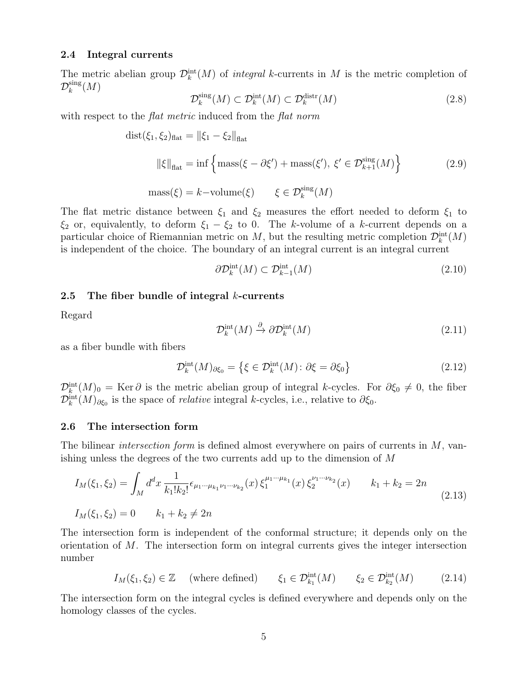#### 2.4 Integral currents

The metric abelian group  $\mathcal{D}_k^{\text{int}}(M)$  of *integral k*-currents in M is the metric completion of  $\mathcal{D}_k^{\rm sing}$  $_{k}^{\mathrm{sing}}(M)$ 

$$
\mathcal{D}_k^{\text{sing}}(M) \subset \mathcal{D}_k^{\text{int}}(M) \subset \mathcal{D}_k^{\text{distr}}(M) \tag{2.8}
$$

with respect to the *flat metric* induced from the *flat norm* 

$$
dist(\xi_1, \xi_2)_{\text{flat}} = ||\xi_1 - \xi_2||_{\text{flat}}
$$
  

$$
||\xi||_{\text{flat}} = \inf \left\{ \text{mass}(\xi - \partial \xi') + \text{mass}(\xi'), \xi' \in \mathcal{D}_{k+1}^{\text{sing}}(M) \right\}
$$
  

$$
\text{mass}(\xi) = k - \text{volume}(\xi) \qquad \xi \in \mathcal{D}_k^{\text{sing}}(M)
$$
 (2.9)

The flat metric distance between  $\xi_1$  and  $\xi_2$  measures the effort needed to deform  $\xi_1$  to  $\xi_2$  or, equivalently, to deform  $\xi_1 - \xi_2$  to 0. The k-volume of a k-current depends on a particular choice of Riemannian metric on  $M$ , but the resulting metric completion  $\mathcal{D}_k^{\text{int}}(M)$ is independent of the choice. The boundary of an integral current is an integral current

$$
\partial \mathcal{D}_k^{\text{int}}(M) \subset \mathcal{D}_{k-1}^{\text{int}}(M) \tag{2.10}
$$

#### 2.5 The fiber bundle of integral  $k$ -currents

Regard

$$
\mathcal{D}_k^{\text{int}}(M) \xrightarrow{\partial} \partial \mathcal{D}_k^{\text{int}}(M) \tag{2.11}
$$

as a fiber bundle with fibers

$$
\mathcal{D}_k^{\text{int}}(M)_{\partial \xi_0} = \left\{ \xi \in \mathcal{D}_k^{\text{int}}(M) : \partial \xi = \partial \xi_0 \right\} \tag{2.12}
$$

 $\mathcal{D}_k^{\text{int}}(M)_0 = \text{Ker }\partial$  is the metric abelian group of integral k-cycles. For  $\partial \xi_0 \neq 0$ , the fiber  $\mathcal{D}_{k}^{\text{int}}(M)_{\partial \xi_0}$  is the space of *relative* integral k-cycles, i.e., relative to  $\partial \xi_0$ .

#### 2.6 The intersection form

The bilinear *intersection form* is defined almost everywhere on pairs of currents in  $M$ , vanishing unless the degrees of the two currents add up to the dimension of M

$$
I_M(\xi_1, \xi_2) = \int_M d^d x \, \frac{1}{k_1! k_2!} \epsilon_{\mu_1 \cdots \mu_{k_1} \nu_1 \cdots \nu_{k_2}}(x) \, \xi_1^{\mu_1 \cdots \mu_{k_1}}(x) \, \xi_2^{\nu_1 \cdots \nu_{k_2}}(x) \qquad k_1 + k_2 = 2n
$$
\n
$$
I_M(\xi_1, \xi_2) = 0 \qquad k_1 + k_2 \neq 2n
$$
\n
$$
(2.13)
$$

The intersection form is independent of the conformal structure; it depends only on the orientation of M. The intersection form on integral currents gives the integer intersection number

$$
I_M(\xi_1, \xi_2) \in \mathbb{Z} \quad \text{(where defined)} \qquad \xi_1 \in \mathcal{D}_{k_1}^{\text{int}}(M) \qquad \xi_2 \in \mathcal{D}_{k_2}^{\text{int}}(M) \tag{2.14}
$$

The intersection form on the integral cycles is defined everywhere and depends only on the homology classes of the cycles.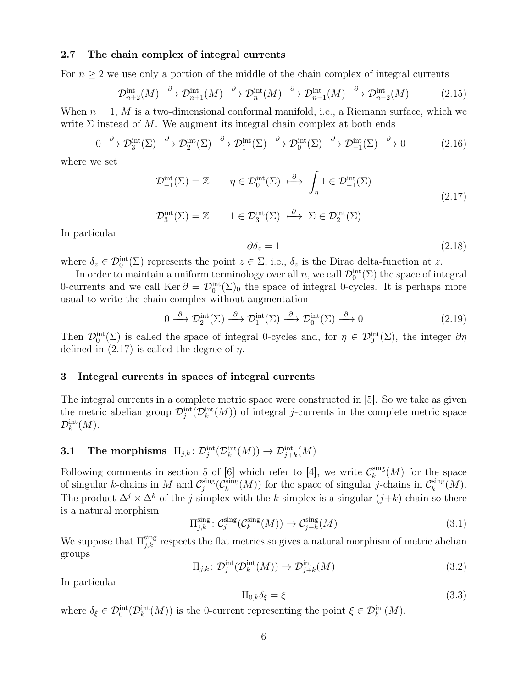#### 2.7 The chain complex of integral currents

For  $n \geq 2$  we use only a portion of the middle of the chain complex of integral currents

$$
\mathcal{D}_{n+2}^{\text{int}}(M) \xrightarrow{\partial} \mathcal{D}_{n+1}^{\text{int}}(M) \xrightarrow{\partial} \mathcal{D}_{n}^{\text{int}}(M) \xrightarrow{\partial} \mathcal{D}_{n-1}^{\text{int}}(M) \xrightarrow{\partial} \mathcal{D}_{n-2}^{\text{int}}(M) \tag{2.15}
$$

When  $n = 1$ , M is a two-dimensional conformal manifold, i.e., a Riemann surface, which we write  $\Sigma$  instead of M. We augment its integral chain complex at both ends

$$
0 \xrightarrow{\partial} \mathcal{D}_3^{\text{int}}(\Sigma) \xrightarrow{\partial} \mathcal{D}_2^{\text{int}}(\Sigma) \xrightarrow{\partial} \mathcal{D}_1^{\text{int}}(\Sigma) \xrightarrow{\partial} \mathcal{D}_0^{\text{int}}(\Sigma) \xrightarrow{\partial} \mathcal{D}_{-1}^{\text{int}}(\Sigma) \xrightarrow{\partial} 0
$$
 (2.16)

where we set

$$
\mathcal{D}_{-1}^{\text{int}}(\Sigma) = \mathbb{Z} \qquad \eta \in \mathcal{D}_0^{\text{int}}(\Sigma) \stackrel{\partial}{\longmapsto} \int_{\eta} 1 \in \mathcal{D}_{-1}^{\text{int}}(\Sigma) \tag{2.17}
$$

$$
\mathcal{D}_3^{\text{int}}(\Sigma) = \mathbb{Z} \qquad 1 \in \mathcal{D}_3^{\text{int}}(\Sigma) \stackrel{\partial}{\longmapsto} \Sigma \in \mathcal{D}_2^{\text{int}}(\Sigma)
$$

In particular

$$
\partial \delta_z = 1 \tag{2.18}
$$

where  $\delta_z \in \mathcal{D}_0^{\text{int}}(\Sigma)$  represents the point  $z \in \Sigma$ , i.e.,  $\delta_z$  is the Dirac delta-function at z.

In order to maintain a uniform terminology over all  $n$ , we call  $\mathcal{D}_0^{\text{int}}(\Sigma)$  the space of integral 0-currents and we call  $\text{Ker } \partial = \mathcal{D}_0^{\text{int}}(\Sigma)_0$  the space of integral 0-cycles. It is perhaps more usual to write the chain complex without augmentation

$$
0 \xrightarrow{\partial} \mathcal{D}_2^{\text{int}}(\Sigma) \xrightarrow{\partial} \mathcal{D}_1^{\text{int}}(\Sigma) \xrightarrow{\partial} \mathcal{D}_0^{\text{int}}(\Sigma) \xrightarrow{\partial} 0
$$
\n(2.19)

Then  $\mathcal{D}_0^{\text{int}}(\Sigma)$  is called the space of integral 0-cycles and, for  $\eta \in \mathcal{D}_0^{\text{int}}(\Sigma)$ , the integer  $\partial \eta$ defined in  $(2.17)$  is called the degree of  $\eta$ .

#### 3 Integral currents in spaces of integral currents

The integral currents in a complete metric space were constructed in [5]. So we take as given the metric abelian group  $\mathcal{D}_j^{\text{int}}(\mathcal{D}_k^{\text{int}}(M))$  of integral j-currents in the complete metric space  $\mathcal{D}_k^\text{int}(M).$ 

## 3.1 The morphisms  $\prod_{j,k} : \mathcal{D}^\mathrm{int}_j(\mathcal{D}^\mathrm{int}_k(M)) \to \mathcal{D}^\mathrm{int}_{j+k}(M)$

Following comments in section 5 of [6] which refer to [4], we write  $\mathcal{C}_k^{\text{sing}}$  $\binom{sing}{k}(M)$  for the space of singular k-chains in M and  $\mathcal{C}^{\text{sing}}_i$  $\sup_j$  ( $\mathcal{C}_k^{\rm sing}$  $\lim_{k} (M)$  for the space of singular j-chains in  $\mathcal{C}_k^{\text{sing}}$  $_k^{\text{sing}}(M).$ The product  $\Delta^j \times \Delta^k$  of the j-simplex with the k-simplex is a singular  $(j+k)$ -chain so there is a natural morphism

$$
\Pi_{j,k}^{\text{sing}} \colon \mathcal{C}_j^{\text{sing}}(\mathcal{C}_k^{\text{sing}}(M)) \to \mathcal{C}_{j+k}^{\text{sing}}(M) \tag{3.1}
$$

We suppose that  $\Pi_{j,k}^{\text{sing}}$  respects the flat metrics so gives a natural morphism of metric abelian groups

$$
\Pi_{j,k} \colon \mathcal{D}_j^{\text{int}}(\mathcal{D}_k^{\text{int}}(M)) \to \mathcal{D}_{j+k}^{\text{int}}(M) \tag{3.2}
$$

In particular

$$
\Pi_{0,k}\delta_{\xi} = \xi \tag{3.3}
$$

where  $\delta_{\xi} \in \mathcal{D}_0^{\text{int}}(\mathcal{D}_k^{\text{int}}(M))$  is the 0-current representing the point  $\xi \in \mathcal{D}_k^{\text{int}}(M)$ .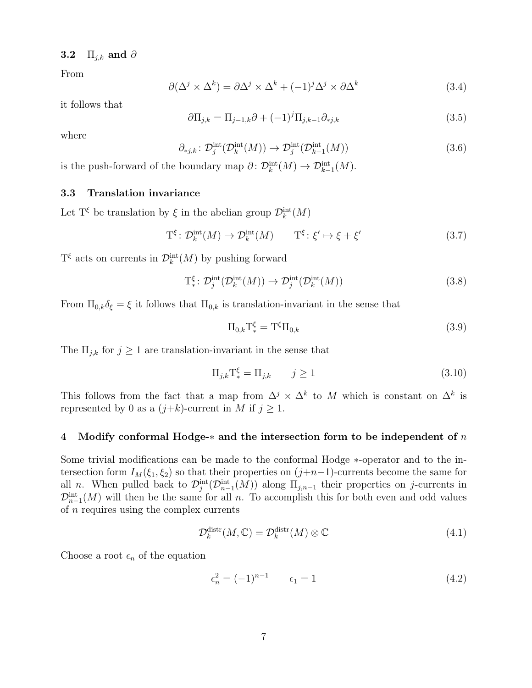### 3.2  $\Pi_{j,k}$  and ∂

From

$$
\partial(\Delta^j \times \Delta^k) = \partial \Delta^j \times \Delta^k + (-1)^j \Delta^j \times \partial \Delta^k \tag{3.4}
$$

it follows that

$$
\partial \Pi_{j,k} = \Pi_{j-1,k} \partial + (-1)^j \Pi_{j,k-1} \partial_{*j,k}
$$
\n(3.5)

where

$$
\partial_{*j,k} \colon \mathcal{D}_j^{\text{int}}(\mathcal{D}_k^{\text{int}}(M)) \to \mathcal{D}_j^{\text{int}}(\mathcal{D}_{k-1}^{\text{int}}(M)) \tag{3.6}
$$

is the push-forward of the boundary map  $\partial \colon \mathcal{D}_k^{\text{int}}(M) \to \mathcal{D}_{k-1}^{\text{int}}(M)$ .

### 3.3 Translation invariance

Let  $T^{\xi}$  be translation by  $\xi$  in the abelian group  $\mathcal{D}_{k}^{\text{int}}(M)$ 

$$
\mathcal{T}^{\xi} : \mathcal{D}_{k}^{\text{int}}(M) \to \mathcal{D}_{k}^{\text{int}}(M) \qquad \mathcal{T}^{\xi} : \xi' \mapsto \xi + \xi' \tag{3.7}
$$

 $T^{\xi}$  acts on currents in  $\mathcal{D}_{k}^{\text{int}}(M)$  by pushing forward

$$
T_*^{\xi} \colon \mathcal{D}_j^{\text{int}}(\mathcal{D}_k^{\text{int}}(M)) \to \mathcal{D}_j^{\text{int}}(\mathcal{D}_k^{\text{int}}(M)) \tag{3.8}
$$

From  $\Pi_{0,k}\delta_{\xi}=\xi$  it follows that  $\Pi_{0,k}$  is translation-invariant in the sense that

$$
\Pi_{0,k} \mathcal{T}_{*}^{\xi} = \mathcal{T}^{\xi} \Pi_{0,k} \tag{3.9}
$$

The  $\Pi_{j,k}$  for  $j \geq 1$  are translation-invariant in the sense that

$$
\Pi_{j,k} \mathcal{T}_{*}^{\xi} = \Pi_{j,k} \qquad j \ge 1 \tag{3.10}
$$

This follows from the fact that a map from  $\Delta^j \times \Delta^k$  to M which is constant on  $\Delta^k$  is represented by 0 as a  $(j+k)$ -current in M if  $j \ge 1$ .

#### 4 Modify conformal Hodge- $*$  and the intersection form to be independent of n

Some trivial modifications can be made to the conformal Hodge ∗-operator and to the intersection form  $I_M(\xi_1, \xi_2)$  so that their properties on  $(j+n-1)$ -currents become the same for all *n*. When pulled back to  $\mathcal{D}_j^{\text{int}}(\mathcal{D}_{n-1}^{\text{int}}(M))$  along  $\Pi_{j,n-1}$  their properties on j-currents in  $\mathcal{D}_{n-1}^{\text{int}}(M)$  will then be the same for all n. To accomplish this for both even and odd values of  $n$  requires using the complex currents

$$
\mathcal{D}_k^{\text{distr}}(M,\mathbb{C}) = \mathcal{D}_k^{\text{distr}}(M) \otimes \mathbb{C}
$$
\n(4.1)

Choose a root  $\epsilon_n$  of the equation

$$
\epsilon_n^2 = (-1)^{n-1} \qquad \epsilon_1 = 1 \tag{4.2}
$$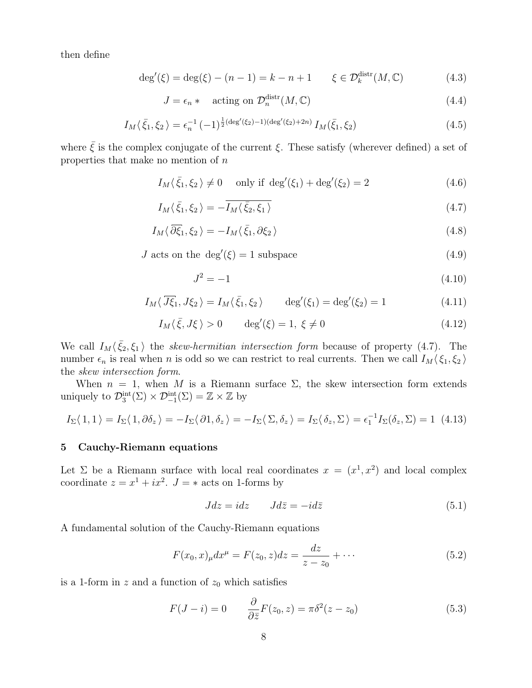then define

$$
\deg'(\xi) = \deg(\xi) - (n-1) = k - n + 1 \qquad \xi \in \mathcal{D}_k^{\text{distr}}(M, \mathbb{C}) \tag{4.3}
$$

$$
J = \epsilon_n * \quad \text{acting on } \mathcal{D}_n^{\text{distr}}(M, \mathbb{C}) \tag{4.4}
$$

$$
I_M(\bar{\xi}_1, \xi_2) = \epsilon_n^{-1} (-1)^{\frac{1}{2}(\deg'(\xi_2) - 1)(\deg'(\xi_2) + 2n)} I_M(\bar{\xi}_1, \xi_2)
$$
\n(4.5)

where  $\bar{\xi}$  is the complex conjugate of the current  $\xi$ . These satisfy (wherever defined) a set of properties that make no mention of  $n$ 

$$
I_M(\bar{\xi}_1, \xi_2) \neq 0 \quad \text{only if } \deg'(\xi_1) + \deg'(\xi_2) = 2 \tag{4.6}
$$

$$
I_M\langle\bar{\xi}_1,\xi_2\rangle=-\overline{I_M\langle\bar{\xi}_2,\xi_1\rangle}
$$
\n(4.7)

$$
I_M \langle \overline{\partial \xi}_1, \xi_2 \rangle = -I_M \langle \overline{\xi}_1, \partial \xi_2 \rangle \tag{4.8}
$$

*J* acts on the deg'( $\xi$ ) = 1 subspace (4.9)

$$
J^2 = -1 \tag{4.10}
$$

$$
I_M\langle \overline{J\xi}_1, J\xi_2 \rangle = I_M\langle \overline{\xi}_1, \xi_2 \rangle \qquad \deg'(\xi_1) = \deg'(\xi_2) = 1 \tag{4.11}
$$

$$
I_M\langle \bar{\xi}, J\xi \rangle > 0 \qquad \deg'(\xi) = 1, \ \xi \neq 0 \tag{4.12}
$$

We call  $I_M(\bar{\xi}_2,\xi_1)$  the skew-hermitian intersection form because of property (4.7). The number  $\epsilon_n$  is real when n is odd so we can restrict to real currents. Then we call  $I_M(\xi_1, \xi_2)$ the skew intersection form.

When  $n = 1$ , when M is a Riemann surface  $\Sigma$ , the skew intersection form extends uniquely to  $\mathcal{D}_3^{\text{int}}(\Sigma) \times \mathcal{D}_{-1}^{\text{int}}(\Sigma) = \mathbb{Z} \times \mathbb{Z}$  by

$$
I_{\Sigma}\langle 1,1\rangle = I_{\Sigma}\langle 1,\partial \delta_z \rangle = -I_{\Sigma}\langle \partial 1,\delta_z \rangle = -I_{\Sigma}\langle \Sigma,\delta_z \rangle = I_{\Sigma}\langle \delta_z,\Sigma \rangle = \epsilon_1^{-1}I_{\Sigma}(\delta_z,\Sigma) = 1 \tag{4.13}
$$

#### 5 Cauchy-Riemann equations

Let  $\Sigma$  be a Riemann surface with local real coordinates  $x = (x^1, x^2)$  and local complex coordinate  $z = x^1 + ix^2$ .  $J = *$  acts on 1-forms by

$$
Jdz = idz \qquad Jd\bar{z} = -id\bar{z} \tag{5.1}
$$

A fundamental solution of the Cauchy-Riemann equations

$$
F(x_0, x)_{\mu} dx^{\mu} = F(z_0, z) dz = \frac{dz}{z - z_0} + \cdots
$$
 (5.2)

is a 1-form in z and a function of  $z_0$  which satisfies

$$
F(J - i) = 0 \qquad \frac{\partial}{\partial \bar{z}} F(z_0, z) = \pi \delta^2 (z - z_0)
$$
\n(5.3)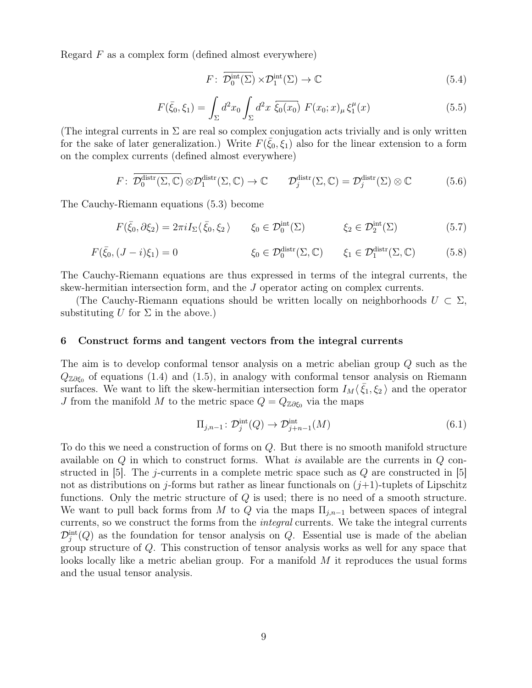Regard  $F$  as a complex form (defined almost everywhere)

$$
F: \overline{\mathcal{D}_0^{\text{int}}(\Sigma)} \times \mathcal{D}_1^{\text{int}}(\Sigma) \to \mathbb{C}
$$
 (5.4)

$$
F(\bar{\xi}_0, \xi_1) = \int_{\Sigma} d^2 x_0 \int_{\Sigma} d^2 x \ \overline{\xi_0(x_0)} \ F(x_0; x)_{\mu} \xi_1^{\mu}(x) \tag{5.5}
$$

(The integral currents in  $\Sigma$  are real so complex conjugation acts trivially and is only written for the sake of later generalization.) Write  $F(\bar{\xi}_0, \xi_1)$  also for the linear extension to a form on the complex currents (defined almost everywhere)

$$
F: \overline{\mathcal{D}_0^{\text{distr}}(\Sigma, \mathbb{C})} \otimes \mathcal{D}_1^{\text{distr}}(\Sigma, \mathbb{C}) \to \mathbb{C} \qquad \mathcal{D}_j^{\text{distr}}(\Sigma, \mathbb{C}) = \mathcal{D}_j^{\text{distr}}(\Sigma) \otimes \mathbb{C} \tag{5.6}
$$

The Cauchy-Riemann equations (5.3) become

$$
F(\bar{\xi}_0, \partial \xi_2) = 2\pi i I_\Sigma \langle \bar{\xi}_0, \xi_2 \rangle \qquad \xi_0 \in \mathcal{D}_0^{\text{int}}(\Sigma) \qquad \xi_2 \in \mathcal{D}_2^{\text{int}}(\Sigma) \tag{5.7}
$$

$$
F(\bar{\xi}_0, (J - i)\xi_1) = 0 \qquad \qquad \xi_0 \in \mathcal{D}_0^{\text{distr}}(\Sigma, \mathbb{C}) \qquad \xi_1 \in \mathcal{D}_1^{\text{distr}}(\Sigma, \mathbb{C}) \qquad (5.8)
$$

The Cauchy-Riemann equations are thus expressed in terms of the integral currents, the skew-hermitian intersection form, and the J operator acting on complex currents.

(The Cauchy-Riemann equations should be written locally on neighborhoods  $U \subset \Sigma$ , substituting U for  $\Sigma$  in the above.)

#### 6 Construct forms and tangent vectors from the integral currents

The aim is to develop conformal tensor analysis on a metric abelian group Q such as the  $Q_{\mathbb{Z}\partial\xi_0}$  of equations (1.4) and (1.5), in analogy with conformal tensor analysis on Riemann surfaces. We want to lift the skew-hermitian intersection form  $I_M(\bar{\xi}_1, \xi_2)$  and the operator J from the manifold M to the metric space  $Q = Q_{\mathbb{Z}\partial\xi_0}$  via the maps

$$
\Pi_{j,n-1} \colon \mathcal{D}_j^{\text{int}}(Q) \to \mathcal{D}_{j+n-1}^{\text{int}}(M) \tag{6.1}
$$

To do this we need a construction of forms on Q. But there is no smooth manifold structure available on  $Q$  in which to construct forms. What is available are the currents in  $Q$  constructed in [5]. The j-currents in a complete metric space such as  $Q$  are constructed in [5] not as distributions on j-forms but rather as linear functionals on  $(j+1)$ -tuplets of Lipschitz functions. Only the metric structure of Q is used; there is no need of a smooth structure. We want to pull back forms from M to Q via the maps  $\Pi_{j,n-1}$  between spaces of integral currents, so we construct the forms from the integral currents. We take the integral currents  $\mathcal{D}_j^{\text{int}}(Q)$  as the foundation for tensor analysis on Q. Essential use is made of the abelian group structure of Q. This construction of tensor analysis works as well for any space that looks locally like a metric abelian group. For a manifold  $M$  it reproduces the usual forms and the usual tensor analysis.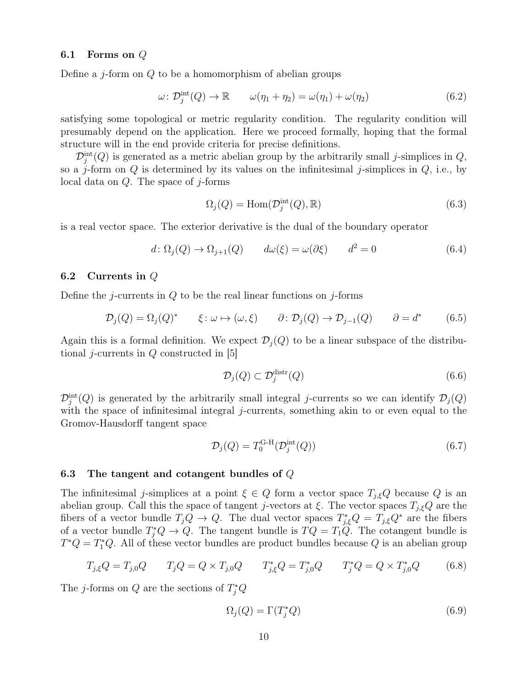#### 6.1 Forms on Q

Define a *j*-form on  $Q$  to be a homomorphism of abelian groups

$$
\omega \colon \mathcal{D}_j^{\text{int}}(Q) \to \mathbb{R} \qquad \omega(\eta_1 + \eta_2) = \omega(\eta_1) + \omega(\eta_2) \tag{6.2}
$$

satisfying some topological or metric regularity condition. The regularity condition will presumably depend on the application. Here we proceed formally, hoping that the formal structure will in the end provide criteria for precise definitions.

 $\mathcal{D}_j^{\text{int}}(Q)$  is generated as a metric abelian group by the arbitrarily small j-simplices in  $Q$ , so a j-form on  $Q$  is determined by its values on the infinitesimal j-simplices in  $Q$ , i.e., by local data on  $Q$ . The space of j-forms

$$
\Omega_j(Q) = \text{Hom}(\mathcal{D}_j^{\text{int}}(Q), \mathbb{R}) \tag{6.3}
$$

is a real vector space. The exterior derivative is the dual of the boundary operator

$$
d \colon \Omega_j(Q) \to \Omega_{j+1}(Q) \qquad d\omega(\xi) = \omega(\partial \xi) \qquad d^2 = 0 \tag{6.4}
$$

#### 6.2 Currents in Q

Define the j-currents in  $Q$  to be the real linear functions on j-forms

$$
\mathcal{D}_j(Q) = \Omega_j(Q)^* \qquad \xi \colon \omega \mapsto (\omega, \xi) \qquad \partial \colon \mathcal{D}_j(Q) \to \mathcal{D}_{j-1}(Q) \qquad \partial = d^* \qquad (6.5)
$$

Again this is a formal definition. We expect  $\mathcal{D}_i(Q)$  to be a linear subspace of the distributional *j*-currents in  $Q$  constructed in [5]

$$
\mathcal{D}_j(Q) \subset \mathcal{D}_j^{\text{distr}}(Q) \tag{6.6}
$$

 $\mathcal{D}_j^{\text{int}}(Q)$  is generated by the arbitrarily small integral j-currents so we can identify  $\mathcal{D}_j(Q)$ with the space of infinitesimal integral j-currents, something akin to or even equal to the Gromov-Hausdorff tangent space

$$
\mathcal{D}_j(Q) = T_0^{\text{G-H}}(\mathcal{D}_j^{\text{int}}(Q))\tag{6.7}
$$

#### 6.3 The tangent and cotangent bundles of Q

The infinitesimal j-simplices at a point  $\xi \in Q$  form a vector space  $T_{i,\xi}Q$  because Q is an abelian group. Call this the space of tangent j-vectors at  $\xi$ . The vector spaces  $T_{j,\xi}Q$  are the fibers of a vector bundle  $T_j Q \to Q$ . The dual vector spaces  $T_{j,\xi}^* Q = T_{j,\xi} Q^*$  are the fibers of a vector bundle  $T_j^*Q \to Q$ . The tangent bundle is  $TQ = T_1Q$ . The cotangent bundle is  $T^*Q = T_1^*Q$ . All of these vector bundles are product bundles because Q is an abelian group

$$
T_{j,\xi}Q = T_{j,0}Q \qquad T_jQ = Q \times T_{j,0}Q \qquad T_{j,\xi}^*Q = T_{j,0}^*Q \qquad T_j^*Q = Q \times T_{j,0}^*Q \qquad (6.8)
$$

The *j*-forms on  $Q$  are the sections of  $T_j^*Q$ 

$$
\Omega_j(Q) = \Gamma(T_j^*Q) \tag{6.9}
$$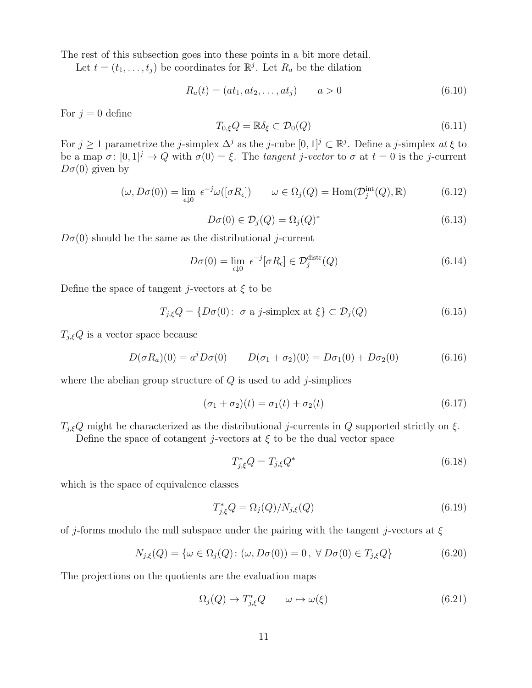The rest of this subsection goes into these points in a bit more detail.

Let  $t = (t_1, \ldots, t_j)$  be coordinates for  $\mathbb{R}^j$ . Let  $R_a$  be the dilation

$$
R_a(t) = (at_1, at_2, \dots, at_j) \qquad a > 0 \tag{6.10}
$$

For  $j = 0$  define

$$
T_{0,\xi}Q = \mathbb{R}\delta_{\xi} \subset \mathcal{D}_0(Q) \tag{6.11}
$$

For  $j \ge 1$  parametrize the j-simplex  $\Delta^j$  as the j-cube  $[0,1]^j \subset \mathbb{R}^j$ . Define a j-simplex at  $\xi$  to be a map  $\sigma: [0,1]^j \to Q$  with  $\sigma(0) = \xi$ . The tangent j-vector to  $\sigma$  at  $t = 0$  is the j-current  $D\sigma(0)$  given by

$$
(\omega, D\sigma(0)) = \lim_{\epsilon \downarrow 0} \epsilon^{-j} \omega([\sigma R_{\epsilon}]) \qquad \omega \in \Omega_j(Q) = \text{Hom}(\mathcal{D}_j^{\text{int}}(Q), \mathbb{R}) \tag{6.12}
$$

$$
D\sigma(0) \in \mathcal{D}_j(Q) = \Omega_j(Q)^* \tag{6.13}
$$

 $D\sigma(0)$  should be the same as the distributional j-current

$$
D\sigma(0) = \lim_{\epsilon \downarrow 0} \epsilon^{-j} [\sigma R_{\epsilon}] \in \mathcal{D}_j^{\text{distr}}(Q)
$$
\n(6.14)

Define the space of tangent *j*-vectors at  $\xi$  to be

$$
T_{j,\xi}Q = \{D\sigma(0): \sigma \text{ a } j\text{-simplex at } \xi\} \subset \mathcal{D}_j(Q)
$$
\n(6.15)

 $T_{j,\xi}Q$  is a vector space because

$$
D(\sigma R_a)(0) = a^j D\sigma(0) \qquad D(\sigma_1 + \sigma_2)(0) = D\sigma_1(0) + D\sigma_2(0) \tag{6.16}
$$

where the abelian group structure of  $Q$  is used to add j-simplices

$$
(\sigma_1 + \sigma_2)(t) = \sigma_1(t) + \sigma_2(t) \tag{6.17}
$$

 $T_{j,\xi}Q$  might be characterized as the distributional j-currents in Q supported strictly on  $\xi$ .

Define the space of cotangent j-vectors at  $\xi$  to be the dual vector space

$$
T_{j,\xi}^*Q = T_{j,\xi}Q^*
$$
\n
$$
(6.18)
$$

which is the space of equivalence classes

$$
T_{j,\xi}^*Q = \Omega_j(Q)/N_{j,\xi}(Q) \tag{6.19}
$$

of j-forms modulo the null subspace under the pairing with the tangent j-vectors at  $\xi$ 

$$
N_{j,\xi}(Q) = \{ \omega \in \Omega_j(Q) : (\omega, D\sigma(0)) = 0, \ \forall \ D\sigma(0) \in T_{j,\xi}Q \}
$$
(6.20)

The projections on the quotients are the evaluation maps

$$
\Omega_j(Q) \to T^*_{j,\xi} Q \qquad \omega \mapsto \omega(\xi) \tag{6.21}
$$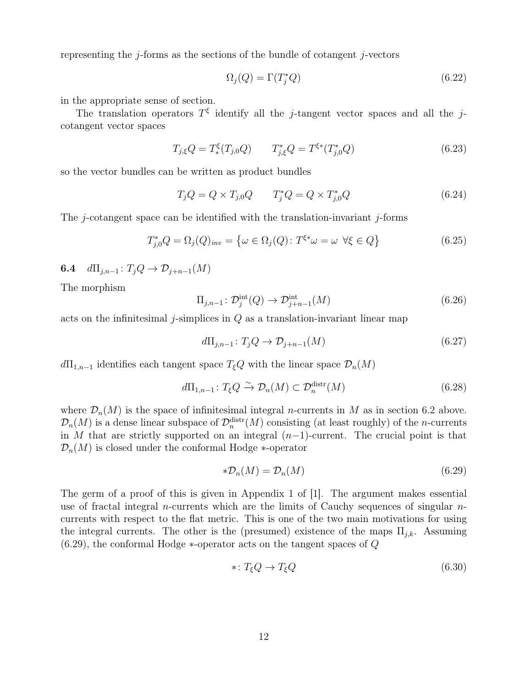representing the j-forms as the sections of the bundle of cotangent j-vectors

$$
\Omega_j(Q) = \Gamma(T_j^*Q) \tag{6.22}
$$

in the appropriate sense of section.

The translation operators  $T^{\xi}$  identify all the j-tangent vector spaces and all the jcotangent vector spaces

$$
T_{j,\xi}Q = T^{\xi}_{*}(T_{j,0}Q) \qquad T_{j,\xi}^{*}Q = T^{\xi*}(T_{j,0}^{*}Q) \qquad (6.23)
$$

so the vector bundles can be written as product bundles

$$
T_j Q = Q \times T_{j,0} Q \qquad T_j^* Q = Q \times T_{j,0}^* Q \tag{6.24}
$$

The  $j$ -cotangent space can be identified with the translation-invariant  $j$ -forms

$$
T_{j,0}^*Q = \Omega_j(Q)_{inv} = \{ \omega \in \Omega_j(Q) \colon T^{\xi^*} \omega = \omega \ \forall \xi \in Q \}
$$
\n
$$
(6.25)
$$

**6.4**  $d\Pi_{i,n-1}$ :  $T_iQ \rightarrow \mathcal{D}_{i+n-1}(M)$ 

The morphism

$$
\Pi_{j,n-1} \colon \mathcal{D}_j^{\text{int}}(Q) \to \mathcal{D}_{j+n-1}^{\text{int}}(M) \tag{6.26}
$$

acts on the infinitesimal j-simplices in  $Q$  as a translation-invariant linear map

$$
d\Pi_{j,n-1} \colon T_j Q \to \mathcal{D}_{j+n-1}(M) \tag{6.27}
$$

 $d\Pi_{1,n-1}$  identifies each tangent space  $T_{\xi}Q$  with the linear space  $\mathcal{D}_n(M)$ 

$$
d\Pi_{1,n-1} \colon T_{\xi}Q \xrightarrow{\sim} \mathcal{D}_n(M) \subset \mathcal{D}_n^{\text{distr}}(M) \tag{6.28}
$$

where  $\mathcal{D}_n(M)$  is the space of infinitesimal integral *n*-currents in M as in section 6.2 above.  $\mathcal{D}_n(M)$  is a dense linear subspace of  $\mathcal{D}_n^{\text{distr}}(M)$  consisting (at least roughly) of the *n*-currents in M that are strictly supported on an integral  $(n-1)$ -current. The crucial point is that  $\mathcal{D}_n(M)$  is closed under the conformal Hodge  $*$ -operator

$$
*D_n(M) = D_n(M) \tag{6.29}
$$

The germ of a proof of this is given in Appendix 1 of [1]. The argument makes essential use of fractal integral *n*-currents which are the limits of Cauchy sequences of singular  $n$ currents with respect to the flat metric. This is one of the two main motivations for using the integral currents. The other is the (presumed) existence of the maps  $\Pi_{j,k}$ . Assuming  $(6.29)$ , the conformal Hodge  $*$ -operator acts on the tangent spaces of  $Q$ 

$$
* \colon T_{\xi}Q \to T_{\xi}Q \tag{6.30}
$$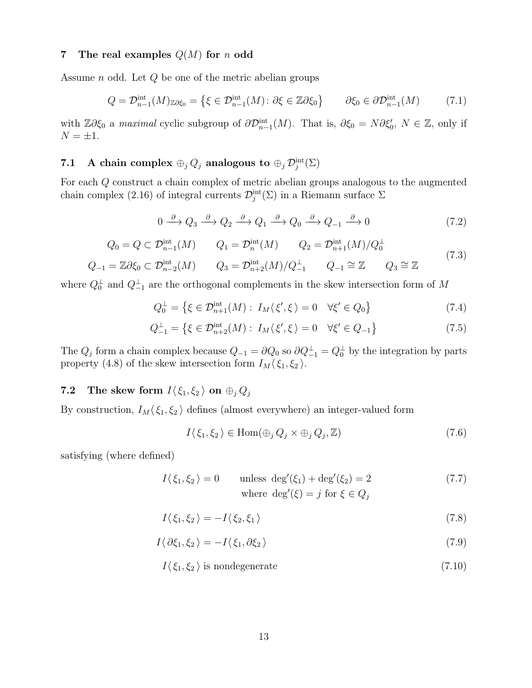#### 7 The real examples  $Q(M)$  for n odd

Assume n odd. Let Q be one of the metric abelian groups

$$
Q = \mathcal{D}_{n-1}^{\text{int}}(M)_{\mathbb{Z}\partial\xi_0} = \left\{ \xi \in \mathcal{D}_{n-1}^{\text{int}}(M) : \partial\xi \in \mathbb{Z}\partial\xi_0 \right\} \qquad \partial\xi_0 \in \partial\mathcal{D}_{n-1}^{\text{int}}(M) \tag{7.1}
$$

with  $\mathbb{Z}\partial \xi_0$  a maximal cyclic subgroup of  $\partial \mathcal{D}_{n-1}^{\text{int}}(M)$ . That is,  $\partial \xi_0 = N \partial \xi'_0$ ,  $N \in \mathbb{Z}$ , only if  $N = \pm 1$ .

## 7.1 A chain complex  $\oplus_j Q_j$  analogous to  $\oplus_j \mathcal{D}^\mathrm{int}_j(\Sigma)$

For each Q construct a chain complex of metric abelian groups analogous to the augmented chain complex (2.16) of integral currents  $\mathcal{D}_j^{\text{int}}(\Sigma)$  in a Riemann surface  $\Sigma$ 

$$
0 \xrightarrow{\partial} Q_3 \xrightarrow{\partial} Q_2 \xrightarrow{\partial} Q_1 \xrightarrow{\partial} Q_0 \xrightarrow{\partial} Q_{-1} \xrightarrow{\partial} 0
$$
\n(7.2)

$$
Q_0 = Q \subset \mathcal{D}_{n-1}^{\text{int}}(M) \qquad Q_1 = \mathcal{D}_n^{\text{int}}(M) \qquad Q_2 = \mathcal{D}_{n+1}^{\text{int}}(M) / Q_0^{\perp}
$$
\n(7.3)

$$
Q_{-1} = \mathbb{Z}\partial\xi_0 \subset \mathcal{D}_{n-2}^{\text{int}}(M) \qquad Q_3 = \mathcal{D}_{n+2}^{\text{int}}(M)/Q_{-1}^{\perp} \qquad Q_{-1} \cong \mathbb{Z} \qquad Q_3 \cong \mathbb{Z}
$$

where  $Q_0^{\perp}$  and  $Q_{-1}^{\perp}$  are the orthogonal complements in the skew intersection form of M

$$
Q_0^{\perp} = \left\{ \xi \in \mathcal{D}_{n+1}^{\text{int}}(M) : I_M \langle \xi', \xi \rangle = 0 \quad \forall \xi' \in Q_0 \right\} \tag{7.4}
$$

$$
Q_{-1}^{\perp} = \{ \xi \in \mathcal{D}_{n+2}^{\text{int}}(M) : I_M \langle \xi', \xi \rangle = 0 \quad \forall \xi' \in Q_{-1} \}
$$
(7.5)

The  $Q_j$  form a chain complex because  $Q_{-1} = \partial Q_0$  so  $\partial Q_{-1}^{\perp} = Q_0^{\perp}$  by the integration by parts property (4.8) of the skew intersection form  $I_M(\xi_1, \xi_2)$ .

## 7.2 The skew form  $I(\xi_1, \xi_2)$  on  $\oplus_i Q_i$

By construction,  $I_M(\xi_1, \xi_2)$  defines (almost everywhere) an integer-valued form

$$
I(\xi_1, \xi_2) \in \text{Hom}(\oplus_j Q_j \times \oplus_j Q_j, \mathbb{Z})
$$
\n(7.6)

satisfying (where defined)

$$
I(\xi_1, \xi_2) = 0 \t\t \text{unless } \deg'(\xi_1) + \deg'(\xi_2) = 2 \t\t (7.7)
$$
  
where 
$$
\deg'(\xi) = j \text{ for } \xi \in Q_j
$$

$$
I(\xi_1, \xi_2) = -I(\xi_2, \xi_1) \tag{7.8}
$$

$$
I\langle \partial \xi_1, \xi_2 \rangle = -I\langle \xi_1, \partial \xi_2 \rangle \tag{7.9}
$$

$$
I(\xi_1, \xi_2) \text{ is nondegenerate} \tag{7.10}
$$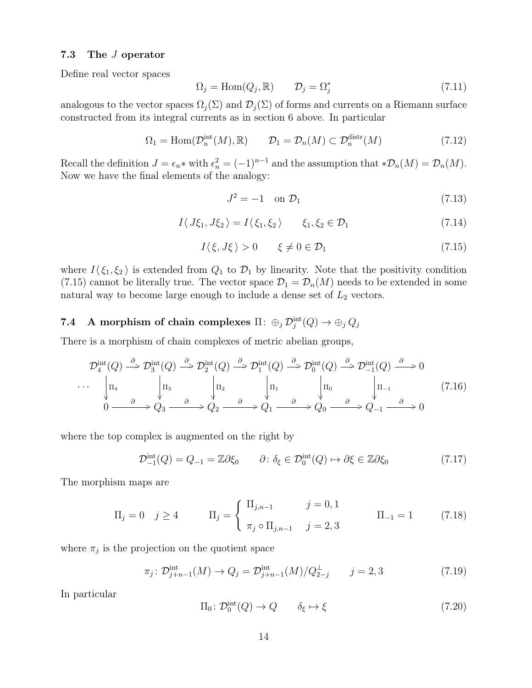#### 7.3 The J operator

Define real vector spaces

$$
\Omega_j = \text{Hom}(Q_j, \mathbb{R}) \qquad \mathcal{D}_j = \Omega_j^* \tag{7.11}
$$

analogous to the vector spaces  $\Omega_i(\Sigma)$  and  $\mathcal{D}_i(\Sigma)$  of forms and currents on a Riemann surface constructed from its integral currents as in section 6 above. In particular

$$
\Omega_1 = \text{Hom}(\mathcal{D}_n^{\text{int}}(M), \mathbb{R}) \qquad \mathcal{D}_1 = \mathcal{D}_n(M) \subset \mathcal{D}_n^{\text{distr}}(M) \tag{7.12}
$$

Recall the definition  $J = \epsilon_n *$  with  $\epsilon_n^2 = (-1)^{n-1}$  and the assumption that  $*\mathcal{D}_n(M) = \mathcal{D}_n(M)$ . Now we have the final elements of the analogy:

$$
J^2 = -1 \quad \text{on } \mathcal{D}_1 \tag{7.13}
$$

$$
I\langle J\xi_1, J\xi_2\rangle = I\langle \xi_1, \xi_2\rangle \qquad \xi_1, \xi_2 \in \mathcal{D}_1 \tag{7.14}
$$

$$
I(\xi, J\xi) > 0 \qquad \xi \neq 0 \in \mathcal{D}_1 \tag{7.15}
$$

where  $I(\xi_1, \xi_2)$  is extended from  $Q_1$  to  $\mathcal{D}_1$  by linearity. Note that the positivity condition (7.15) cannot be literally true. The vector space  $\mathcal{D}_1 = \mathcal{D}_n(M)$  needs to be extended in some natural way to become large enough to include a dense set of  $L_2$  vectors.

## $\begin{array}{ll} {\bf 7.4} & {\bf A}\,\, \text{morphism of chain complexes}\,\, \Pi\colon \oplus_j\, \mathcal{D}^{\rm int}_j(Q)\rightarrow \oplus_j\, Q_j \end{array}$

There is a morphism of chain complexes of metric abelian groups,

$$
\mathcal{D}_4^{\text{int}}(Q) \stackrel{\partial}{\to} \mathcal{D}_3^{\text{int}}(Q) \stackrel{\partial}{\to} \mathcal{D}_2^{\text{int}}(Q) \stackrel{\partial}{\to} \mathcal{D}_1^{\text{int}}(Q) \stackrel{\partial}{\to} \mathcal{D}_0^{\text{int}}(Q) \stackrel{\partial}{\to} \mathcal{D}_{-1}^{\text{int}}(Q) \stackrel{\partial}{\to} 0
$$
  
\n... 
$$
\begin{vmatrix} \n\pi_4 & \n\pi_5 & \n\pi_3 & \n\pi_2 & \n\pi_1 & \n\pi_4 & \n\pi_5 & \n\pi_5 & \n\pi_6 & \n\pi_6 & \n\pi_7 & \n\pi_7 & \n\pi_8 & \n\pi_7 & \n\pi_8 & \n\pi_9 & \n\pi_9 & \n\pi_9 & \n\pi_9 & \n\pi_9 & \n\pi_9 & \n\pi_9 & \n\pi_9 & \n\pi_9 & \n\pi_9 & \n\pi_9 & \n\pi_9 & \n\pi_9 & \n\pi_9 & \n\pi_9 & \n\pi_9 & \n\pi_9 & \n\pi_9 & \n\pi_9 & \n\pi_9 & \n\pi_9 & \n\pi_9 & \n\pi_9 & \n\pi_9 & \n\pi_9 & \n\pi_9 & \n\pi_9 & \n\pi_9 & \n\pi_9 & \n\pi_9 & \n\pi_9 & \n\pi_9 & \n\pi_9 & \n\pi_9 & \n\pi_9 & \n\pi_9 & \n\pi_9 & \n\pi_9 & \n\pi_9 & \n\pi_9 & \n\pi_9 & \n\pi_9 & \n\pi_9 & \n\pi_9 & \n\pi_9 & \n\pi_9 & \n\pi_9 & \n\pi_9 & \n\pi_9 & \n\pi_9 & \n\pi_9 & \n\pi_9 & \n\pi_9 & \n\pi_9 & \n\pi_9 & \n\pi_9 & \n\pi_9 & \n\pi_9 & \n\pi_9 & \n\pi_9 & \n\pi_9 & \n\pi_9 & \n\pi_9 & \n\pi_9 & \n\pi_9 & \n\pi_9 & \n\pi_9 & \n\pi_9 & \n\pi_9 &
$$

where the top complex is augmented on the right by

$$
\mathcal{D}_{-1}^{\text{int}}(Q) = Q_{-1} = \mathbb{Z}\partial\xi_0 \qquad \partial \colon \delta_{\xi} \in \mathcal{D}_0^{\text{int}}(Q) \mapsto \partial\xi \in \mathbb{Z}\partial\xi_0 \tag{7.17}
$$

The morphism maps are

$$
\Pi_j = 0 \quad j \ge 4 \qquad \Pi_j = \begin{cases} \Pi_{j,n-1} & j = 0, 1 \\ \pi_j \circ \Pi_{j,n-1} & j = 2, 3 \end{cases} \qquad \Pi_{-1} = 1 \qquad (7.18)
$$

where  $\pi_j$  is the projection on the quotient space

$$
\pi_j \colon \mathcal{D}_{j+n-1}^{\text{int}}(M) \to Q_j = \mathcal{D}_{j+n-1}^{\text{int}}(M) / Q_{2-j}^{\perp} \qquad j = 2,3 \tag{7.19}
$$

In particular

$$
\Pi_0 \colon \mathcal{D}_0^{\text{int}}(Q) \to Q \qquad \delta_{\xi} \mapsto \xi \tag{7.20}
$$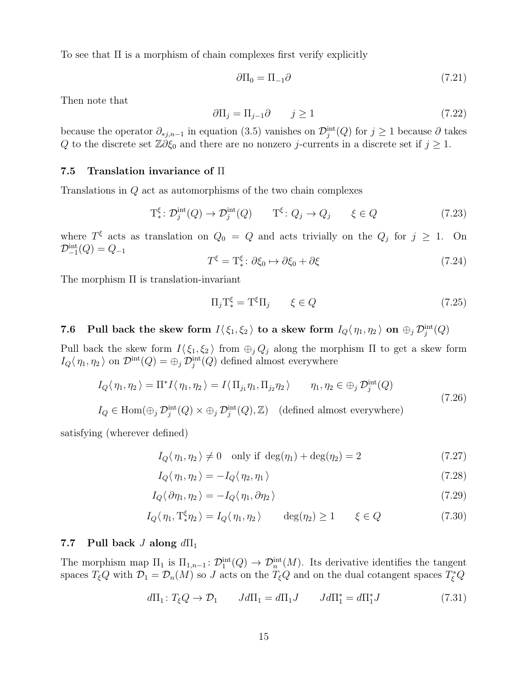To see that Π is a morphism of chain complexes first verify explicitly

$$
\partial \Pi_0 = \Pi_{-1} \partial \tag{7.21}
$$

Then note that

$$
\partial \Pi_j = \Pi_{j-1} \partial \qquad j \ge 1 \tag{7.22}
$$

because the operator  $\partial_{*j,n-1}$  in equation (3.5) vanishes on  $\mathcal{D}_j^{\text{int}}(Q)$  for  $j \geq 1$  because  $\partial$  takes Q to the discrete set  $\mathbb{Z}\partial \xi_0$  and there are no nonzero j-currents in a discrete set if  $j \geq 1$ .

#### 7.5 Translation invariance of Π

Translations in Q act as automorphisms of the two chain complexes

$$
\mathcal{T}_{*}^{\xi} \colon \mathcal{D}_{j}^{\text{int}}(Q) \to \mathcal{D}_{j}^{\text{int}}(Q) \qquad \mathcal{T}^{\xi} \colon Q_{j} \to Q_{j} \qquad \xi \in Q \tag{7.23}
$$

where  $T^{\xi}$  acts as translation on  $Q_0 = Q$  and acts trivially on the  $Q_j$  for  $j \geq 1$ . On  $\mathcal{D}_{-1}^{\rm int}(Q) = Q_{-1}$ 

$$
T^{\xi} = \mathcal{T}_{*}^{\xi} : \partial \xi_{0} \mapsto \partial \xi_{0} + \partial \xi \tag{7.24}
$$

The morphism Π is translation-invariant

$$
\Pi_j \mathcal{T}_*^{\xi} = \mathcal{T}^{\xi} \Pi_j \qquad \xi \in Q \tag{7.25}
$$

7.6 Pull back the skew form  $I\langle \xi_1,\xi_2\rangle$  to a skew form  $I_Q\langle \eta_1,\eta_2\rangle$  on  $\oplus_j \mathcal{D}_j^{\text{int}}(Q)$ 

Pull back the skew form  $I(\xi_1, \xi_2)$  from  $\bigoplus_j Q_j$  along the morphism  $\Pi$  to get a skew form  $I_Q(\eta_1, \eta_2)$  on  $\mathcal{D}^{\text{int}}(Q) = \bigoplus_j \mathcal{D}^{\text{int}}_j(Q)$  defined almost everywhere

$$
I_Q \langle \eta_1, \eta_2 \rangle = \Pi^* I \langle \eta_1, \eta_2 \rangle = I \langle \Pi_{j_1} \eta_1, \Pi_{j_2} \eta_2 \rangle \qquad \eta_1, \eta_2 \in \bigoplus_j \mathcal{D}_j^{\text{int}}(Q)
$$
\n(7.26)

 $I_Q \in \text{Hom}(\bigoplus_j \mathcal{D}_j^{\text{int}}(Q) \times \bigoplus_j \mathcal{D}_j^{\text{int}}(Q), \mathbb{Z})$  (defined almost everywhere)

satisfying (wherever defined)

$$
I_Q(\eta_1, \eta_2) \neq 0 \quad \text{only if } \deg(\eta_1) + \deg(\eta_2) = 2 \tag{7.27}
$$

$$
I_Q \langle \eta_1, \eta_2 \rangle = -I_Q \langle \eta_2, \eta_1 \rangle \tag{7.28}
$$

$$
I_Q \langle \partial \eta_1, \eta_2 \rangle = -I_Q \langle \eta_1, \partial \eta_2 \rangle \tag{7.29}
$$

$$
I_Q(\eta_1, T_*^{\xi} \eta_2) = I_Q(\eta_1, \eta_2) \qquad \deg(\eta_2) \ge 1 \qquad \xi \in Q \tag{7.30}
$$

#### 7.7 Pull back *J* along  $d\Pi_1$

The morphism map  $\Pi_1$  is  $\Pi_{1,n-1}$ :  $\mathcal{D}_1^{\text{int}}(Q) \to \mathcal{D}_n^{\text{int}}(M)$ . Its derivative identifies the tangent spaces  $T_{\xi}Q$  with  $\mathcal{D}_1 = \mathcal{D}_n(M)$  so J acts on the  $T_{\xi}Q$  and on the dual cotangent spaces  $T_{\xi}^*Q$ 

$$
d\Pi_1: T_{\xi}Q \to \mathcal{D}_1 \qquad Jd\Pi_1 = d\Pi_1 J \qquad Jd\Pi_1^* = d\Pi_1^* J \tag{7.31}
$$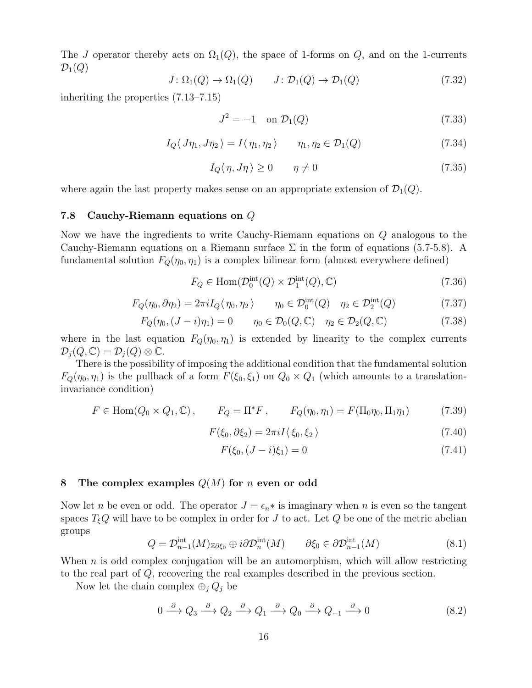The J operator thereby acts on  $\Omega_1(Q)$ , the space of 1-forms on  $Q$ , and on the 1-currents  $\mathcal{D}_1(Q)$ 

$$
J \colon \Omega_1(Q) \to \Omega_1(Q) \qquad J \colon \mathcal{D}_1(Q) \to \mathcal{D}_1(Q) \tag{7.32}
$$

inheriting the properties (7.13–7.15)

$$
J^2 = -1 \quad \text{on } \mathcal{D}_1(Q) \tag{7.33}
$$

$$
I_Q \langle J\eta_1, J\eta_2 \rangle = I \langle \eta_1, \eta_2 \rangle \qquad \eta_1, \eta_2 \in \mathcal{D}_1(Q) \tag{7.34}
$$

$$
I_Q(\eta, J\eta) \ge 0 \qquad \eta \ne 0 \tag{7.35}
$$

where again the last property makes sense on an appropriate extension of  $\mathcal{D}_1(Q)$ .

#### 7.8 Cauchy-Riemann equations on Q

Now we have the ingredients to write Cauchy-Riemann equations on Q analogous to the Cauchy-Riemann equations on a Riemann surface  $\Sigma$  in the form of equations (5.7-5.8). A fundamental solution  $F_Q(\eta_0, \eta_1)$  is a complex bilinear form (almost everywhere defined)

$$
F_Q \in \text{Hom}(\mathcal{D}_0^{\text{int}}(Q) \times \mathcal{D}_1^{\text{int}}(Q), \mathbb{C}) \tag{7.36}
$$

$$
F_Q(\eta_0, \partial \eta_2) = 2\pi i I_Q(\eta_0, \eta_2) \qquad \eta_0 \in \mathcal{D}_0^{\text{int}}(Q) \quad \eta_2 \in \mathcal{D}_2^{\text{int}}(Q) \tag{7.37}
$$

$$
F_Q(\eta_0, (J - i)\eta_1) = 0 \qquad \eta_0 \in \mathcal{D}_0(Q, \mathbb{C}) \quad \eta_2 \in \mathcal{D}_2(Q, \mathbb{C}) \tag{7.38}
$$

where in the last equation  $F_Q(\eta_0, \eta_1)$  is extended by linearity to the complex currents  $\mathcal{D}_j(Q,\mathbb{C})=\mathcal{D}_j(Q)\otimes\mathbb{C}.$ 

There is the possibility of imposing the additional condition that the fundamental solution  $F_Q(\eta_0, \eta_1)$  is the pullback of a form  $F(\xi_0, \xi_1)$  on  $Q_0 \times Q_1$  (which amounts to a translationinvariance condition)

$$
F \in \text{Hom}(Q_0 \times Q_1, \mathbb{C}), \qquad F_Q = \Pi^* F, \qquad F_Q(\eta_0, \eta_1) = F(\Pi_0 \eta_0, \Pi_1 \eta_1) \tag{7.39}
$$

$$
F(\xi_0, \partial \xi_2) = 2\pi i I \langle \xi_0, \xi_2 \rangle \tag{7.40}
$$

$$
F(\xi_0, (J - i)\xi_1) = 0 \tag{7.41}
$$

#### 8 The complex examples  $Q(M)$  for n even or odd

Now let n be even or odd. The operator  $J = \epsilon_n *$  is imaginary when n is even so the tangent spaces  $T_{\xi}Q$  will have to be complex in order for J to act. Let Q be one of the metric abelian groups

$$
Q = \mathcal{D}_{n-1}^{\text{int}}(M)_{\mathbb{Z}\partial\xi_0} \oplus i\partial \mathcal{D}_n^{\text{int}}(M) \qquad \partial\xi_0 \in \partial \mathcal{D}_{n-1}^{\text{int}}(M) \tag{8.1}
$$

When  $n$  is odd complex conjugation will be an automorphism, which will allow restricting to the real part of Q, recovering the real examples described in the previous section.

Now let the chain complex  $\bigoplus_j Q_j$  be

$$
0 \xrightarrow{\partial} Q_3 \xrightarrow{\partial} Q_2 \xrightarrow{\partial} Q_1 \xrightarrow{\partial} Q_0 \xrightarrow{\partial} Q_{-1} \xrightarrow{\partial} 0
$$
 (8.2)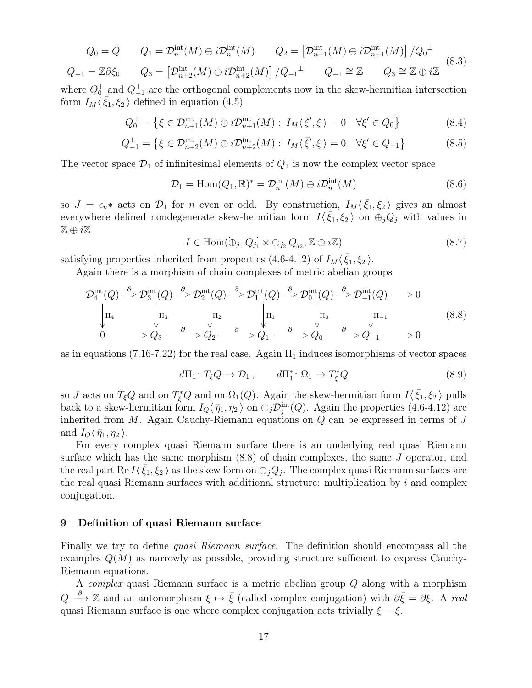$$
Q_0 = Q \t Q_1 = \mathcal{D}_n^{\text{int}}(M) \oplus i\mathcal{D}_n^{\text{int}}(M) \t Q_2 = \left[\mathcal{D}_{n+1}^{\text{int}}(M) \oplus i\mathcal{D}_{n+1}^{\text{int}}(M)\right] / Q_0^{\perp}
$$
  

$$
Q_{-1} = \mathbb{Z}\partial\xi_0 \t Q_3 = \left[\mathcal{D}_{n+2}^{\text{int}}(M) \oplus i\mathcal{D}_{n+2}^{\text{int}}(M)\right] / Q_{-1}^{\perp} \t Q_{-1} \cong \mathbb{Z} \t Q_3 \cong \mathbb{Z} \oplus i\mathbb{Z}
$$
 (8.3)

where  $Q_0^{\perp}$  and  $Q_{-1}^{\perp}$  are the orthogonal complements now in the skew-hermitian intersection form  $I_M \langle \bar{\xi}_1, \xi_2 \rangle$  defined in equation (4.5)

$$
Q_0^{\perp} = \{ \xi \in \mathcal{D}_{n+1}^{\text{int}}(M) \oplus i\mathcal{D}_{n+1}^{\text{int}}(M) : I_M \langle \bar{\xi}', \xi \rangle = 0 \quad \forall \xi' \in Q_0 \}
$$
(8.4)

$$
Q_{-1}^{\perp} = \{ \xi \in \mathcal{D}_{n+2}^{\text{int}}(M) \oplus i\mathcal{D}_{n+2}^{\text{int}}(M) : I_M \langle \bar{\xi}', \xi \rangle = 0 \quad \forall \xi' \in Q_{-1} \}
$$
(8.5)

The vector space  $\mathcal{D}_1$  of infinitesimal elements of  $Q_1$  is now the complex vector space

$$
\mathcal{D}_1 = \text{Hom}(Q_1, \mathbb{R})^* = \mathcal{D}_n^{\text{int}}(M) \oplus i\mathcal{D}_n^{\text{int}}(M) \tag{8.6}
$$

so  $J = \epsilon_n *$  acts on  $\mathcal{D}_1$  for n even or odd. By construction,  $I_M \langle \bar{\xi}_1, \xi_2 \rangle$  gives an almost everywhere defined nondegenerate skew-hermitian form  $I(\bar{\xi}_1,\xi_2)$  on  $\oplus_j Q_j$  with values in  $\mathbb{Z} \oplus i \mathbb{Z}$ 

$$
I \in \text{Hom}(\overline{\oplus_{j_1} Q_{j_1}} \times \oplus_{j_2} Q_{j_2}, \mathbb{Z} \oplus i\mathbb{Z})
$$
\n(8.7)

satisfying properties inherited from properties (4.6-4.12) of  $I_M\langle \bar{\xi}_1, \xi_2 \rangle$ .

Again there is a morphism of chain complexes of metric abelian groups

$$
\mathcal{D}_4^{\text{int}}(Q) \stackrel{\partial}{\to} \mathcal{D}_3^{\text{int}}(Q) \stackrel{\partial}{\to} \mathcal{D}_2^{\text{int}}(Q) \stackrel{\partial}{\to} \mathcal{D}_1^{\text{int}}(Q) \stackrel{\partial}{\to} \mathcal{D}_0^{\text{int}}(Q) \stackrel{\partial}{\to} \mathcal{D}_{-1}^{\text{int}}(Q) \stackrel{\partial}{\to} 0
$$
\n
$$
\begin{vmatrix} \Pi_4 & \mid \Pi_3 & \mid \Pi_2 & \mid \Pi_1 & \mid \Pi_0 & \mid \Pi_{-1} \\ 0 & \mid & \vartheta & \vartheta_2 & \vartheta_2 & \vartheta_2 \end{vmatrix} \stackrel{\partial}{\to} Q_1 \stackrel{\partial}{\to} Q_0 \stackrel{\partial}{\to} Q_0 \stackrel{\partial}{\to} Q_{-1} \stackrel{\partial}{\to} 0
$$
\n(8.8)

as in equations (7.16-7.22) for the real case. Again  $\Pi_1$  induces isomorphisms of vector spaces

$$
d\Pi_1 \colon T_{\xi}Q \to \mathcal{D}_1, \qquad d\Pi_1^* \colon \Omega_1 \to T_{\xi}^*Q \tag{8.9}
$$

so J acts on  $T_{\xi}Q$  and on  $T_{\xi}Q$  and on  $\Omega_1(Q)$ . Again the skew-hermitian form  $I\langle \bar{\xi}_1, \xi_2 \rangle$  pulls back to a skew-hermitian form  $I_Q \langle \bar{\eta}_1, \eta_2 \rangle$  on  $\oplus_j \mathcal{D}_j^{\text{int}}(Q)$ . Again the properties (4.6-4.12) are inherited from  $M$ . Again Cauchy-Riemann equations on  $Q$  can be expressed in terms of  $J$ and  $I_Q\langle \bar{\eta}_1, \eta_2 \rangle$ .

For every complex quasi Riemann surface there is an underlying real quasi Riemann surface which has the same morphism (8.8) of chain complexes, the same J operator, and the real part Re  $I\langle \bar{\xi}_1,\xi_2\rangle$  as the skew form on  $\oplus_j Q_j$ . The complex quasi Riemann surfaces are the real quasi Riemann surfaces with additional structure: multiplication by  $i$  and complex conjugation.

#### 9 Definition of quasi Riemann surface

Finally we try to define quasi Riemann surface. The definition should encompass all the examples  $Q(M)$  as narrowly as possible, providing structure sufficient to express Cauchy-Riemann equations.

A complex quasi Riemann surface is a metric abelian group Q along with a morphism  $Q \stackrel{\partial}{\longrightarrow} \mathbb{Z}$  and an automorphism  $\xi \mapsto \bar{\xi}$  (called complex conjugation) with  $\partial \bar{\xi} = \partial \xi$ . A real quasi Riemann surface is one where complex conjugation acts trivially  $\xi = \xi$ .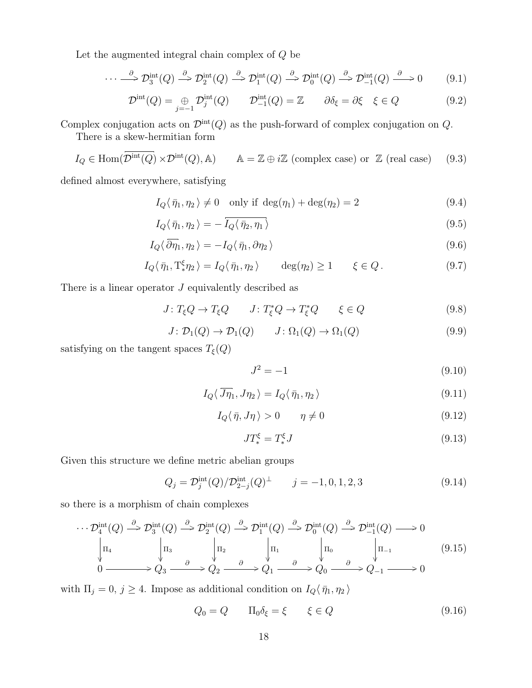Let the augmented integral chain complex of  $\boldsymbol{Q}$  be

$$
\cdots \stackrel{\partial}{\longrightarrow} \mathcal{D}_3^{\text{int}}(Q) \stackrel{\partial}{\longrightarrow} \mathcal{D}_2^{\text{int}}(Q) \stackrel{\partial}{\longrightarrow} \mathcal{D}_1^{\text{int}}(Q) \stackrel{\partial}{\longrightarrow} \mathcal{D}_0^{\text{int}}(Q) \stackrel{\partial}{\longrightarrow} \mathcal{D}_{-1}^{\text{int}}(Q) \stackrel{\partial}{\longrightarrow} 0 \tag{9.1}
$$

$$
\mathcal{D}^{\text{int}}(Q) = \bigoplus_{j=-1}^{\infty} \mathcal{D}^{\text{int}}_j(Q) \qquad \mathcal{D}^{\text{int}}_{-1}(Q) = \mathbb{Z} \qquad \partial \delta_{\xi} = \partial \xi \quad \xi \in Q \tag{9.2}
$$

Complex conjugation acts on  $\mathcal{D}^{\text{int}}(Q)$  as the push-forward of complex conjugation on  $Q$ .

There is a skew-hermitian form

$$
I_Q \in \text{Hom}(\overline{\mathcal{D}}^{\text{int}}(Q) \times \mathcal{D}^{\text{int}}(Q), \mathbb{A}) \qquad \mathbb{A} = \mathbb{Z} \oplus i\mathbb{Z} \text{ (complex case) or } \mathbb{Z} \text{ (real case)} \qquad (9.3)
$$

defined almost everywhere, satisfying

$$
I_Q(\bar{\eta}_1, \eta_2) \neq 0 \quad \text{only if } \deg(\eta_1) + \deg(\eta_2) = 2 \tag{9.4}
$$

$$
I_Q(\bar{\eta}_1, \eta_2) = -\overline{I_Q(\bar{\eta}_2, \eta_1)}
$$
\n(9.5)

$$
I_Q \langle \overline{\partial \eta}_1, \eta_2 \rangle = -I_Q \langle \overline{\eta}_1, \partial \eta_2 \rangle \tag{9.6}
$$

$$
I_Q(\bar{\eta}_1, \mathrm{T}_{*}^{\xi} \eta_2) = I_Q(\bar{\eta}_1, \eta_2) \qquad \deg(\eta_2) \ge 1 \qquad \xi \in Q. \tag{9.7}
$$

There is a linear operator  $J$  equivalently described as

$$
J: T_{\xi}Q \to T_{\xi}Q \qquad J: T_{\xi}^{*}Q \to T_{\xi}^{*}Q \qquad \xi \in Q \tag{9.8}
$$

$$
J \colon \mathcal{D}_1(Q) \to \mathcal{D}_1(Q) \qquad J \colon \Omega_1(Q) \to \Omega_1(Q) \tag{9.9}
$$

satisfying on the tangent spaces  $T_{\xi}(Q)$ 

$$
J^2 = -1 \tag{9.10}
$$

$$
I_Q \langle \overline{J \eta}_1, J \eta_2 \rangle = I_Q \langle \overline{\eta}_1, \eta_2 \rangle \tag{9.11}
$$

$$
I_Q(\bar{\eta}, J\eta) > 0 \qquad \eta \neq 0 \tag{9.12}
$$

$$
JT_*^{\xi} = T_*^{\xi} J \tag{9.13}
$$

Given this structure we define metric abelian groups

$$
Q_j = \mathcal{D}_j^{\text{int}}(Q) / \mathcal{D}_{2-j}^{\text{int}}(Q)^\perp \qquad j = -1, 0, 1, 2, 3 \tag{9.14}
$$

so there is a morphism of chain complexes

$$
\cdots \mathcal{D}_4^{\text{int}}(Q) \stackrel{\partial}{\rightarrow} \mathcal{D}_3^{\text{int}}(Q) \stackrel{\partial}{\rightarrow} \mathcal{D}_2^{\text{int}}(Q) \stackrel{\partial}{\rightarrow} \mathcal{D}_1^{\text{int}}(Q) \stackrel{\partial}{\rightarrow} \mathcal{D}_0^{\text{int}}(Q) \stackrel{\partial}{\rightarrow} \mathcal{D}_{-1}^{\text{int}}(Q) \longrightarrow 0
$$
  
\n
$$
\downarrow \Pi_4 \qquad \qquad \downarrow \Pi_3 \qquad \qquad \downarrow \Pi_2 \qquad \qquad \downarrow \Pi_1 \qquad \qquad \downarrow \Pi_0 \qquad \qquad \downarrow \Pi_{-1} \qquad (9.15)
$$
  
\n
$$
0 \longrightarrow Q_3 \stackrel{\partial}{\longrightarrow} Q_2 \stackrel{\partial}{\longrightarrow} Q_1 \stackrel{\partial}{\longrightarrow} Q_0 \stackrel{\partial}{\longrightarrow} Q_{-1} \longrightarrow 0
$$

with  $\Pi_j = 0, j \ge 4$ . Impose as additional condition on  $I_Q \langle \bar{\eta}_1, \eta_2 \rangle$ 

$$
Q_0 = Q \qquad \Pi_0 \delta_{\xi} = \xi \qquad \xi \in Q \tag{9.16}
$$